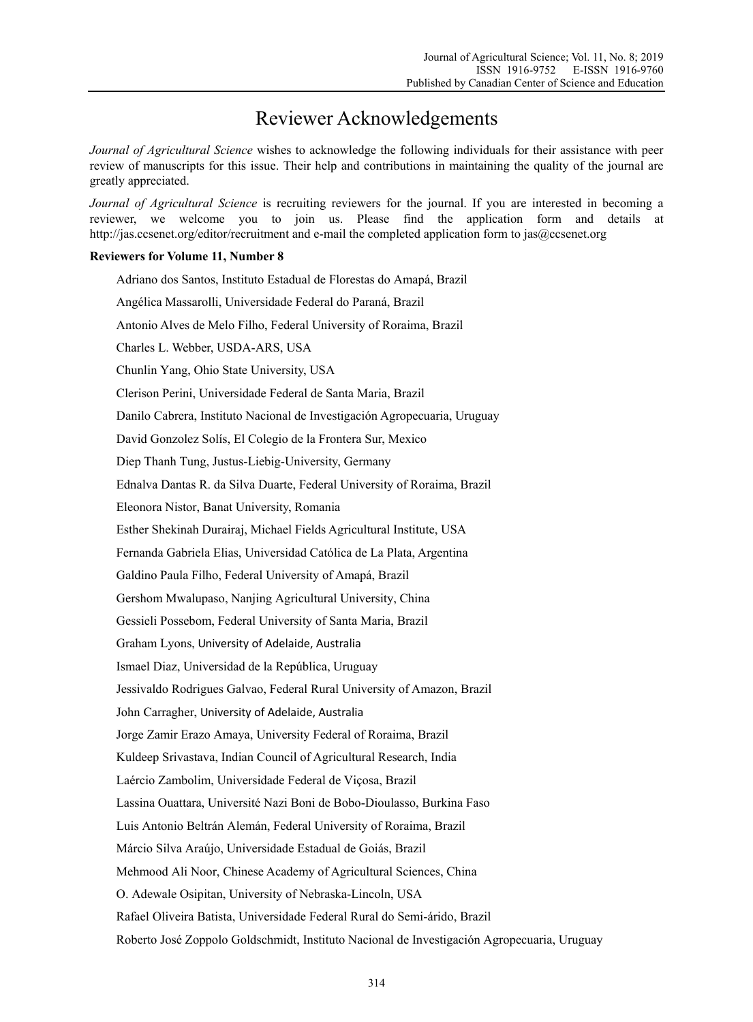## Reviewer Acknowledgements

*Journal of Agricultural Science* wishes to acknowledge the following individuals for their assistance with peer review of manuscripts for this issue. Their help and contributions in maintaining the quality of the journal are greatly appreciated.

*Journal of Agricultural Science* is recruiting reviewers for the journal. If you are interested in becoming a reviewer, we welcome you to join us. Please find the application form and details at http://jas.ccsenet.org/editor/recruitment and e-mail the completed application form to jas@ccsenet.org

## **Reviewers for Volume 11, Number 8**

Adriano dos Santos, Instituto Estadual de Florestas do Amapá, Brazil Angélica Massarolli, Universidade Federal do Paraná, Brazil Antonio Alves de Melo Filho, Federal University of Roraima, Brazil Charles L. Webber, USDA-ARS, USA Chunlin Yang, Ohio State University, USA Clerison Perini, Universidade Federal de Santa Maria, Brazil Danilo Cabrera, Instituto Nacional de Investigación Agropecuaria, Uruguay David Gonzolez Solís, El Colegio de la Frontera Sur, Mexico Diep Thanh Tung, Justus-Liebig-University, Germany Ednalva Dantas R. da Silva Duarte, Federal University of Roraima, Brazil Eleonora Nistor, Banat University, Romania Esther Shekinah Durairaj, Michael Fields Agricultural Institute, USA Fernanda Gabriela Elias, Universidad Católica de La Plata, Argentina Galdino Paula Filho, Federal University of Amapá, Brazil Gershom Mwalupaso, Nanjing Agricultural University, China Gessieli Possebom, Federal University of Santa Maria, Brazil Graham Lyons, University of Adelaide, Australia Ismael Diaz, Universidad de la República, Uruguay Jessivaldo Rodrigues Galvao, Federal Rural University of Amazon, Brazil John Carragher, University of Adelaide, Australia Jorge Zamir Erazo Amaya, University Federal of Roraima, Brazil Kuldeep Srivastava, Indian Council of Agricultural Research, India Laércio Zambolim, Universidade Federal de Viçosa, Brazil Lassina Ouattara, Université Nazi Boni de Bobo-Dioulasso, Burkina Faso Luis Antonio Beltrán Alemán, Federal University of Roraima, Brazil Márcio Silva Araújo, Universidade Estadual de Goiás, Brazil Mehmood Ali Noor, Chinese Academy of Agricultural Sciences, China O. Adewale Osipitan, University of Nebraska-Lincoln, USA Rafael Oliveira Batista, Universidade Federal Rural do Semi-árido, Brazil Roberto José Zoppolo Goldschmidt, Instituto Nacional de Investigación Agropecuaria, Uruguay